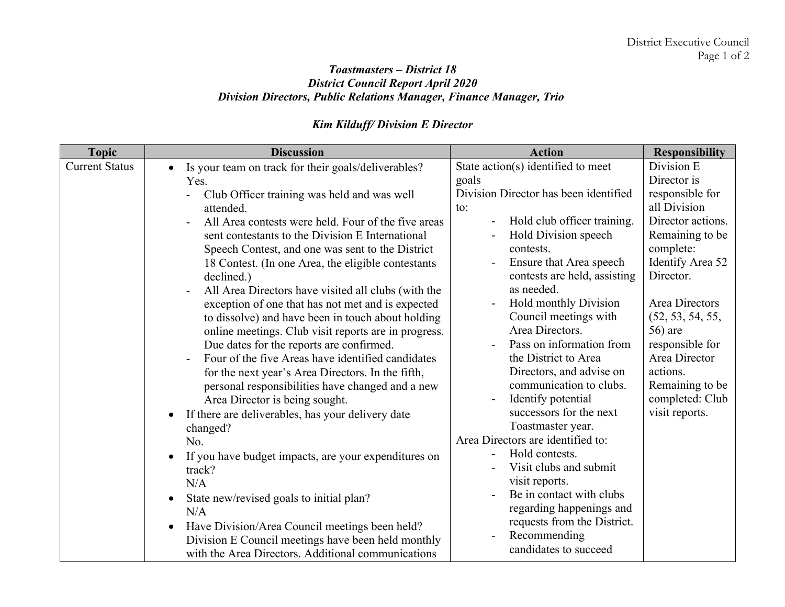## *Toastmasters – District 18 District Council Report April 2020 Division Directors, Public Relations Manager, Finance Manager, Trio*

## *Kim Kilduff/ Division E Director*

| <b>Topic</b>          | <b>Discussion</b>                                              | <b>Action</b>                         | <b>Responsibility</b> |
|-----------------------|----------------------------------------------------------------|---------------------------------------|-----------------------|
| <b>Current Status</b> | Is your team on track for their goals/deliverables?            | State action(s) identified to meet    | Division E            |
|                       | Yes.                                                           | goals                                 | Director is           |
|                       | Club Officer training was held and was well                    | Division Director has been identified | responsible for       |
|                       | attended.                                                      | to:                                   | all Division          |
|                       | All Area contests were held. Four of the five areas            | Hold club officer training.           | Director actions.     |
|                       | sent contestants to the Division E International               | Hold Division speech                  | Remaining to be       |
|                       | Speech Contest, and one was sent to the District               | contests.                             | complete:             |
|                       | 18 Contest. (In one Area, the eligible contestants             | Ensure that Area speech               | Identify Area 52      |
|                       | declined.)                                                     | contests are held, assisting          | Director.             |
|                       | All Area Directors have visited all clubs (with the            | as needed.                            |                       |
|                       | exception of one that has not met and is expected              | <b>Hold monthly Division</b>          | Area Directors        |
|                       | to dissolve) and have been in touch about holding              | Council meetings with                 | (52, 53, 54, 55,      |
|                       | online meetings. Club visit reports are in progress.           | Area Directors.                       | 56) are               |
|                       | Due dates for the reports are confirmed.                       | Pass on information from              | responsible for       |
|                       | Four of the five Areas have identified candidates              | the District to Area                  | Area Director         |
|                       | for the next year's Area Directors. In the fifth,              | Directors, and advise on              | actions.              |
|                       | personal responsibilities have changed and a new               | communication to clubs.               | Remaining to be       |
|                       | Area Director is being sought.                                 | Identify potential                    | completed: Club       |
|                       | If there are deliverables, has your delivery date<br>$\bullet$ | successors for the next               | visit reports.        |
|                       | changed?                                                       | Toastmaster year.                     |                       |
|                       | No.                                                            | Area Directors are identified to:     |                       |
|                       | If you have budget impacts, are your expenditures on           | Hold contests.                        |                       |
|                       | track?                                                         | Visit clubs and submit                |                       |
|                       | N/A                                                            | visit reports.                        |                       |
|                       | State new/revised goals to initial plan?<br>$\bullet$          | Be in contact with clubs              |                       |
|                       | N/A                                                            | regarding happenings and              |                       |
|                       | Have Division/Area Council meetings been held?<br>$\bullet$    | requests from the District.           |                       |
|                       | Division E Council meetings have been held monthly             | Recommending                          |                       |
|                       | with the Area Directors. Additional communications             | candidates to succeed                 |                       |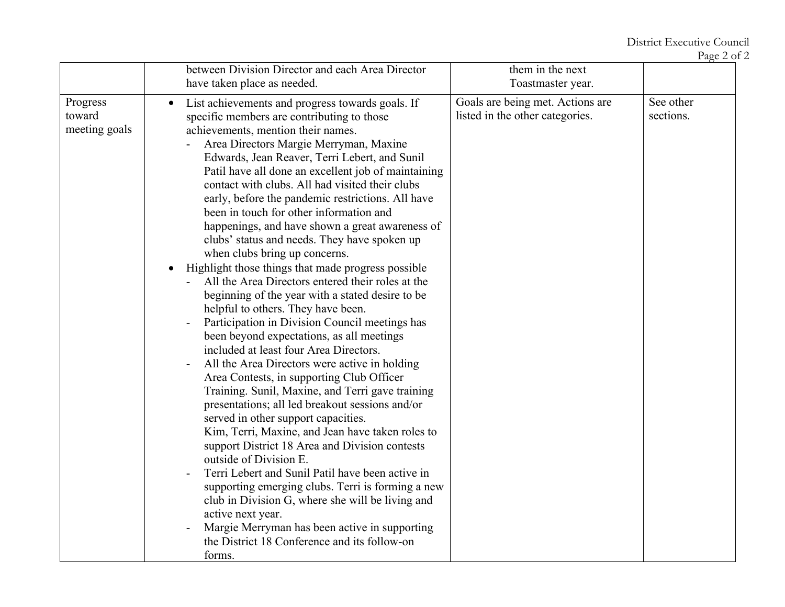|                                     | between Division Director and each Area Director                                                                                                                                                                                                                                                                                                                                                                                                                                                                                                                                                                                                                                                                                                                                                                                                                                                                                                                                                                                                                                                                                                                                                                                                                                                                                                                                                                                                                                                                                                                                                     | them in the next                                                    |                        |
|-------------------------------------|------------------------------------------------------------------------------------------------------------------------------------------------------------------------------------------------------------------------------------------------------------------------------------------------------------------------------------------------------------------------------------------------------------------------------------------------------------------------------------------------------------------------------------------------------------------------------------------------------------------------------------------------------------------------------------------------------------------------------------------------------------------------------------------------------------------------------------------------------------------------------------------------------------------------------------------------------------------------------------------------------------------------------------------------------------------------------------------------------------------------------------------------------------------------------------------------------------------------------------------------------------------------------------------------------------------------------------------------------------------------------------------------------------------------------------------------------------------------------------------------------------------------------------------------------------------------------------------------------|---------------------------------------------------------------------|------------------------|
|                                     | have taken place as needed.                                                                                                                                                                                                                                                                                                                                                                                                                                                                                                                                                                                                                                                                                                                                                                                                                                                                                                                                                                                                                                                                                                                                                                                                                                                                                                                                                                                                                                                                                                                                                                          | Toastmaster year.                                                   |                        |
| Progress<br>toward<br>meeting goals | List achievements and progress towards goals. If<br>specific members are contributing to those<br>achievements, mention their names.<br>Area Directors Margie Merryman, Maxine<br>Edwards, Jean Reaver, Terri Lebert, and Sunil<br>Patil have all done an excellent job of maintaining<br>contact with clubs. All had visited their clubs<br>early, before the pandemic restrictions. All have<br>been in touch for other information and<br>happenings, and have shown a great awareness of<br>clubs' status and needs. They have spoken up<br>when clubs bring up concerns.<br>Highlight those things that made progress possible<br>All the Area Directors entered their roles at the<br>beginning of the year with a stated desire to be<br>helpful to others. They have been.<br>Participation in Division Council meetings has<br>been beyond expectations, as all meetings<br>included at least four Area Directors.<br>All the Area Directors were active in holding<br>Area Contests, in supporting Club Officer<br>Training. Sunil, Maxine, and Terri gave training<br>presentations; all led breakout sessions and/or<br>served in other support capacities.<br>Kim, Terri, Maxine, and Jean have taken roles to<br>support District 18 Area and Division contests<br>outside of Division E.<br>Terri Lebert and Sunil Patil have been active in<br>supporting emerging clubs. Terri is forming a new<br>club in Division G, where she will be living and<br>active next year.<br>Margie Merryman has been active in supporting<br>the District 18 Conference and its follow-on<br>forms. | Goals are being met. Actions are<br>listed in the other categories. | See other<br>sections. |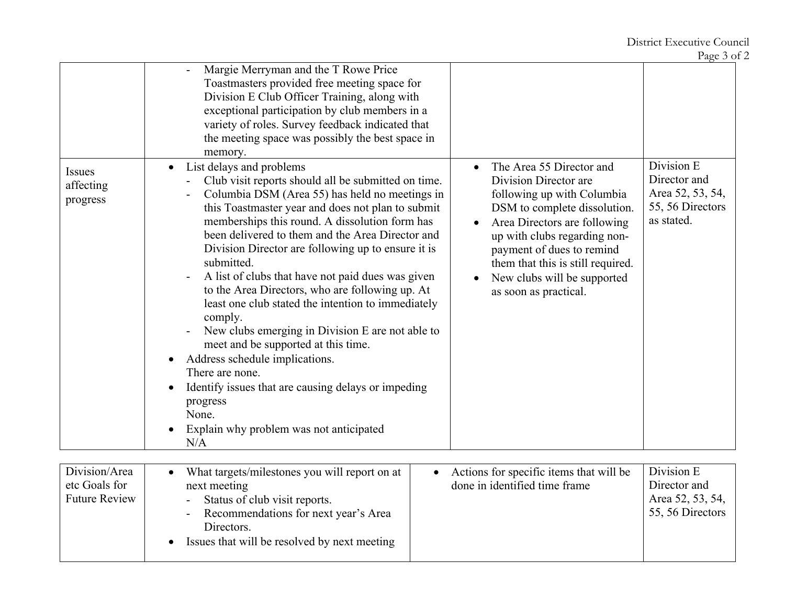District Executive Council

Page 3 of 2

|                                                        | Margie Merryman and the T Rowe Price<br>Toastmasters provided free meeting space for<br>Division E Club Officer Training, along with<br>exceptional participation by club members in a<br>variety of roles. Survey feedback indicated that<br>the meeting space was possibly the best space in<br>memory.                                                                                                                                                                                                                                                                                                                                                                                                                                                                                                                                                                   |                                                                                                                                                                                                                                                                                                                                                                                               |
|--------------------------------------------------------|-----------------------------------------------------------------------------------------------------------------------------------------------------------------------------------------------------------------------------------------------------------------------------------------------------------------------------------------------------------------------------------------------------------------------------------------------------------------------------------------------------------------------------------------------------------------------------------------------------------------------------------------------------------------------------------------------------------------------------------------------------------------------------------------------------------------------------------------------------------------------------|-----------------------------------------------------------------------------------------------------------------------------------------------------------------------------------------------------------------------------------------------------------------------------------------------------------------------------------------------------------------------------------------------|
| <b>Issues</b><br>affecting<br>progress                 | List delays and problems<br>$\bullet$<br>$\bullet$<br>Club visit reports should all be submitted on time.<br>Columbia DSM (Area 55) has held no meetings in<br>this Toastmaster year and does not plan to submit<br>memberships this round. A dissolution form has<br>been delivered to them and the Area Director and<br>Division Director are following up to ensure it is<br>submitted.<br>A list of clubs that have not paid dues was given<br>to the Area Directors, who are following up. At<br>least one club stated the intention to immediately<br>comply.<br>New clubs emerging in Division E are not able to<br>meet and be supported at this time.<br>Address schedule implications.<br>$\bullet$<br>There are none.<br>Identify issues that are causing delays or impeding<br>$\bullet$<br>progress<br>None.<br>Explain why problem was not anticipated<br>N/A | Division E<br>The Area 55 Director and<br>Director and<br>Division Director are<br>Area 52, 53, 54,<br>following up with Columbia<br>55, 56 Directors<br>DSM to complete dissolution.<br>as stated.<br>Area Directors are following<br>up with clubs regarding non-<br>payment of dues to remind<br>them that this is still required.<br>New clubs will be supported<br>as soon as practical. |
| Division/Area<br>etc Goals for<br><b>Future Review</b> | What targets/milestones you will report on at<br>next meeting<br>Status of club visit reports.<br>Recommendations for next year's Area<br>Directors.<br>Issues that will be resolved by next meeting                                                                                                                                                                                                                                                                                                                                                                                                                                                                                                                                                                                                                                                                        | Division E<br>Actions for specific items that will be<br>Director and<br>done in identified time frame<br>Area 52, 53, 54,<br>55, 56 Directors                                                                                                                                                                                                                                                |